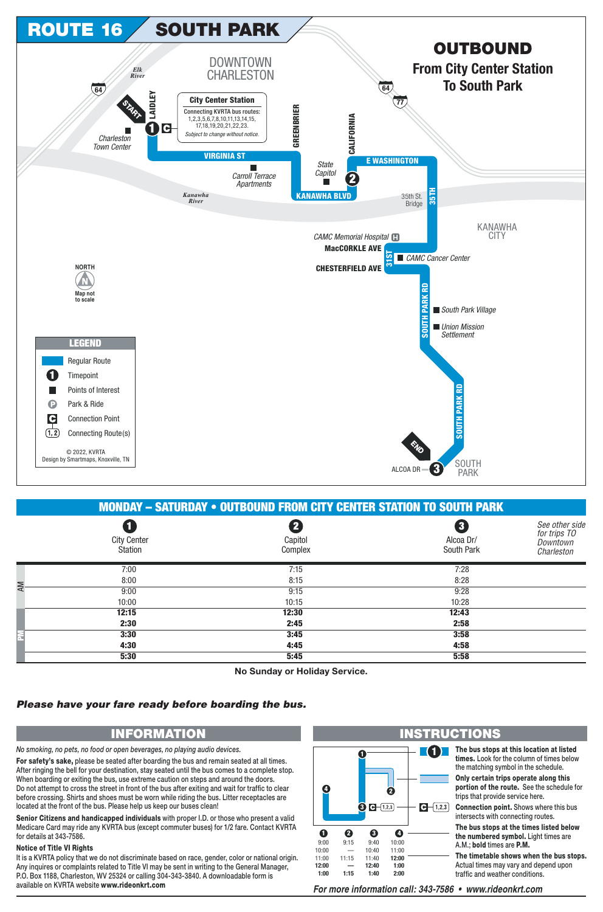

|                      | <b>MONDAY - SATURDAY • OUTBOUND FROM CITY CENTER STATION TO SOUTH PARK</b> |                                    |                                         |                                                          |  |  |
|----------------------|----------------------------------------------------------------------------|------------------------------------|-----------------------------------------|----------------------------------------------------------|--|--|
|                      | $\blacksquare$<br><b>City Center</b><br>Station                            | $\mathbf{2}$<br>Capitol<br>Complex | $\mathbf{3}$<br>Alcoa Dr/<br>South Park | See other side<br>for trips TO<br>Downtown<br>Charleston |  |  |
|                      | 7:00                                                                       | 7:15                               | 7:28                                    |                                                          |  |  |
| <b>AM</b>            | 8:00                                                                       | 8:15                               | 8:28                                    |                                                          |  |  |
|                      | 9:00                                                                       | 9:15                               | 9:28                                    |                                                          |  |  |
|                      | 10:00                                                                      | 10:15                              | 10:28                                   |                                                          |  |  |
|                      | 12:15                                                                      | 12:30                              | 12:43                                   |                                                          |  |  |
|                      | 2:30                                                                       | 2:45                               | 2:58                                    |                                                          |  |  |
| $\tilde{\mathbf{r}}$ | 3:30                                                                       | 3:45                               | 3:58                                    |                                                          |  |  |
|                      | 4:30                                                                       | 4:45                               | 4:58                                    |                                                          |  |  |
|                      | 5:30                                                                       | 5:45                               | 5:58                                    |                                                          |  |  |

No Sunday or Holiday Service.

## Please have your fare ready before boarding the bus.

## **INFORMATION**

No smoking, no pets, no food or open beverages, no playing audio devices.

For safety's sake, please be seated after boarding the bus and remain seated at all times. After ringing the bell for your destination, stay seated until the bus comes to a complete stop. When boarding or exiting the bus, use extreme caution on steps and around the doors. Do not attempt to cross the street in front of the bus after exiting and wait for traffic to clear before crossing. Shirts and shoes must be worn while riding the bus. Litter receptacles are located at the front of the bus. Please help us keep our buses clean!

Senior Citizens and handicapped individuals with proper I.D. or those who present a valid Medicare Card may ride any KVRTA bus (except commuter buses) for 1/2 fare. Contact KVRTA for details at 343-7586.

## **Notice of Title VI Rights**

It is a KVRTA policy that we do not discriminate based on race, gender, color or national origin. Any inquires or complaints related to Title VI may be sent in writing to the General Manager, P.O. Box 1188, Charleston, WV 25324 or calling 304-343-3840. A downloadable form is available on KVRTA website www.rideonkrt.com



For more information call: 343-7586 • www.rideonkrt.com